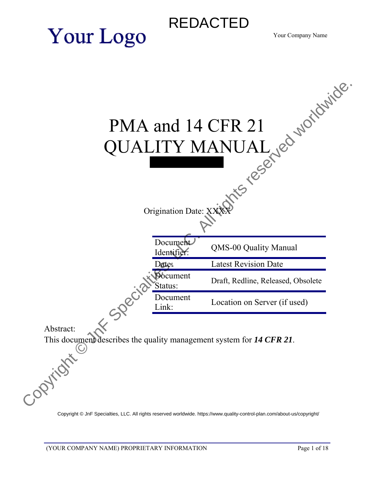# REDACTED

Your Company Name



[Copyright © JnF Specialties, LLC. All rights reserved worldwide. https://www.quality-control-plan.com/about-us/copyright/](https://www.quality-control-plan.com/about-us/copyright/)

**Your Logo**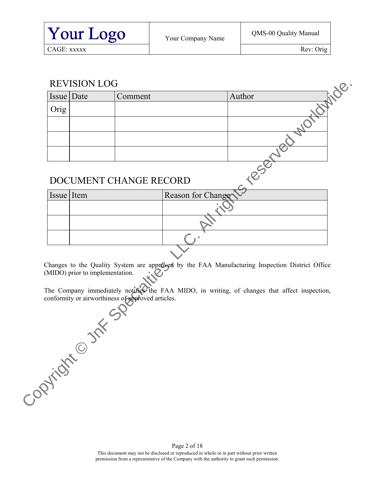### REVISION LOG

|            | Issue Date                      | Comment                                           |                   | inde.<br>Author                                                                                |
|------------|---------------------------------|---------------------------------------------------|-------------------|------------------------------------------------------------------------------------------------|
| Orig       |                                 |                                                   |                   | $\overline{8}$                                                                                 |
|            |                                 |                                                   |                   |                                                                                                |
|            |                                 |                                                   |                   |                                                                                                |
|            |                                 |                                                   |                   |                                                                                                |
|            |                                 |                                                   |                   |                                                                                                |
|            |                                 |                                                   |                   | TeseMer                                                                                        |
|            |                                 | DOCUMENT CHANGE RECORD                            |                   |                                                                                                |
|            |                                 |                                                   |                   |                                                                                                |
| Issue Item |                                 |                                                   | Reason for Change |                                                                                                |
|            |                                 |                                                   |                   |                                                                                                |
|            |                                 |                                                   |                   |                                                                                                |
|            |                                 |                                                   |                   |                                                                                                |
|            |                                 |                                                   |                   |                                                                                                |
|            |                                 |                                                   |                   |                                                                                                |
|            |                                 |                                                   |                   |                                                                                                |
|            |                                 |                                                   |                   | Changes to the Quality System are approved by the FAA Manufacturing Inspection District Office |
|            | (MIDO) prior to implementation. |                                                   |                   |                                                                                                |
|            |                                 |                                                   |                   | The Company immediately notifies the FAA MIDO, in writing, of changes that affect inspection,  |
|            |                                 | conformity or airworthiness of approved articles. |                   |                                                                                                |
|            |                                 |                                                   |                   |                                                                                                |
|            |                                 |                                                   |                   |                                                                                                |
|            |                                 |                                                   |                   |                                                                                                |
|            |                                 |                                                   |                   |                                                                                                |
|            | J J H St                        |                                                   |                   |                                                                                                |
|            |                                 |                                                   |                   |                                                                                                |
|            |                                 |                                                   |                   |                                                                                                |
|            | Copyright                       |                                                   |                   |                                                                                                |

### DOCUMENT CHANGE RECORD

| Issue Item | Reason for Change |
|------------|-------------------|
|            |                   |
|            |                   |
|            |                   |
|            |                   |
|            |                   |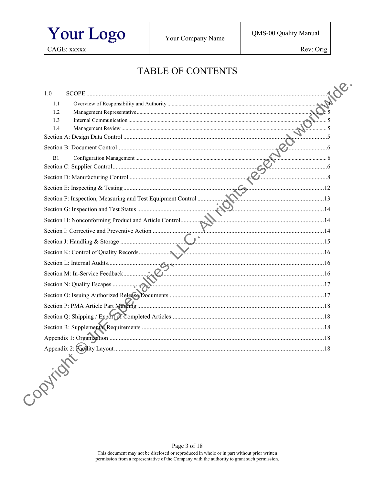

Rev: Orig

### **TABLE OF CONTENTS**

| 1.0<br>SCOPE. |  |
|---------------|--|
| 1.1           |  |
| 1.2           |  |
| 1.3           |  |
| 1.4           |  |
|               |  |
|               |  |
| B1            |  |
|               |  |
|               |  |
|               |  |
|               |  |
|               |  |
|               |  |
|               |  |
|               |  |
|               |  |
|               |  |
|               |  |
|               |  |
|               |  |
|               |  |
|               |  |
|               |  |
|               |  |
|               |  |
| Copyright     |  |
|               |  |
|               |  |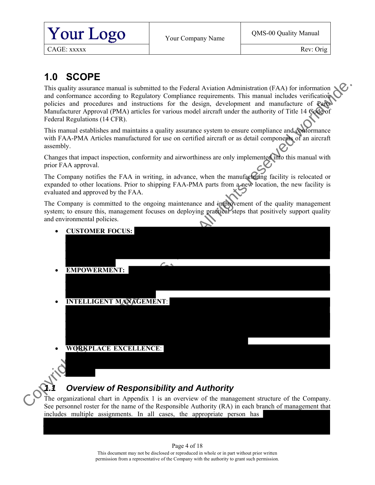

Rev: Orig

## **1.0 SCOPE**

This quality assurance manual is submitted to the Federal Aviation Administration (FAA) for information  $\mathcal{L}$ and conformance according to Regulatory Compliance requirements. This manual includes verifications policies and procedures and instructions for the design, development and manufacture of Parts Manufacturer Approval (PMA) articles for various model aircraft under the authority of Title 14 Code of Federal Regulations (14 CFR).

This manual establishes and maintains a quality assurance system to ensure compliance and conformance with FAA-PMA Articles manufactured for use on certified aircraft or as detail components of an aircraft assembly.

Changes that impact inspection, conformity and airworthiness are only implemented into this manual with prior FAA approval.

The Company notifies the FAA in writing, in advance, when the manufacturing facility is relocated or expanded to other locations. Prior to shipping FAA-PMA parts from a new location, the new facility is evaluated and approved by the FAA.

The Company is committed to the ongoing maintenance and improvement of the quality management system; to ensure this, management focuses on deploying practical steps that positively support quality and environmental policies.

<span id="page-3-0"></span>

### *1.1 Overview of Responsibility and Authority*

<span id="page-3-1"></span>The organizational chart in Appendix 1 is an overview of the management structure of the Company. See personnel roster for the name of the Responsible Authority (RA) in each branch of management that includes multiple assignments. In all cases, the appropriate person has

#### Page 4 of 18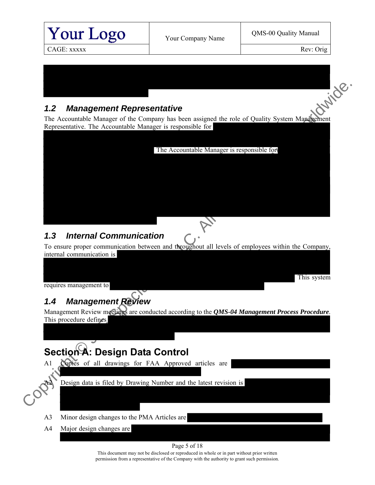

### *1.2 Management Representative*

The Accountable Manager of the Company has been assigned the role of Quality System Management Representative. The Accountable Manager is responsible for

<span id="page-4-0"></span>

### <span id="page-4-1"></span>*1.3 Internal Communication*

To ensure proper communication between and throughout all levels of employees within the Company, internal communication is

This system

requires management to

## <span id="page-4-2"></span>*1.4 Management Review*

Management Review meetings are conducted according to the *QMS-04 Management Process Procedure*. This procedure defines

## <span id="page-4-3"></span>**Section A: Design Data Control**

- A1 Copies of all drawings for FAA Approved articles are
	- Design data is filed by Drawing Number and the latest revision is
- A3 Minor design changes to the PMA Articles are
- A4 Major design changes are

#### Page 5 of 18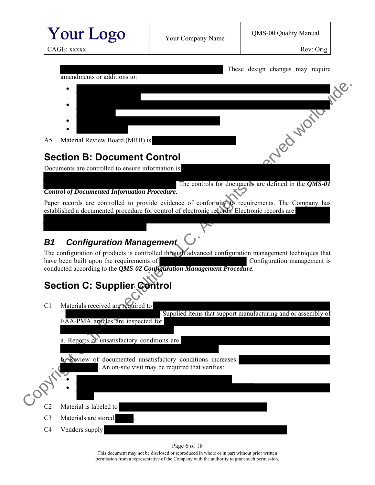<span id="page-5-2"></span><span id="page-5-1"></span><span id="page-5-0"></span>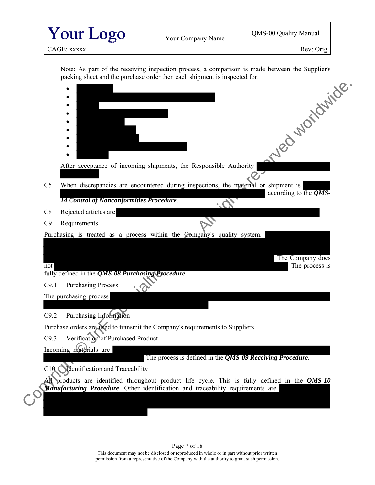

Rev: Orig

packing sheet and the purchase order then each shipment is inspected for:



permission from a representative of the Company with the authority to grant such permission.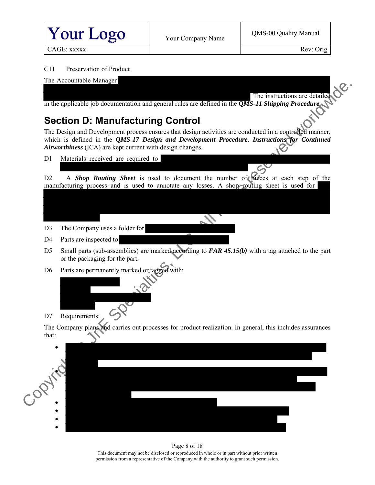

Rev: Orig

#### C11 Preservation of Product



## **Section D: Manufacturing Control**

The Design and Development process ensures that design activities are conducted in a controlled manner, which is defined in the *QMS-17 Design and Development Procedure*. *Instructions for Continued Airworthiness* (ICA) are kept current with design changes.

D1 Materials received are required to

D2 A *Shop Routing Sheet* is used to document the number of pieces at each step of the manufacturing process and is used to annotate any losses. A shop routing sheet is used for

- D3 The Company uses a folder for
- D<sub>4</sub> Parts are inspected to
- D5 Small parts (sub-assemblies) are marked according to *FAR 45.15(b)* with a tag attached to the part or the packaging for the part.



D7 Requirements:

The Company plans and carries out processes for product realization. In general, this includes assurances that:

<span id="page-7-0"></span>

#### Page 8 of 18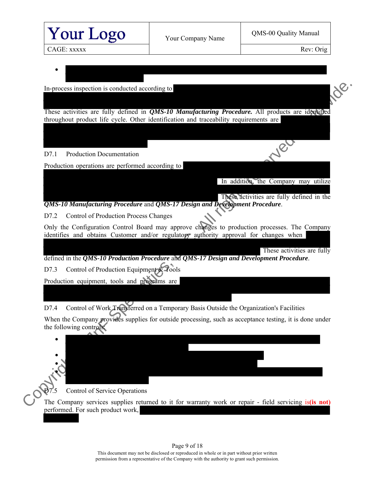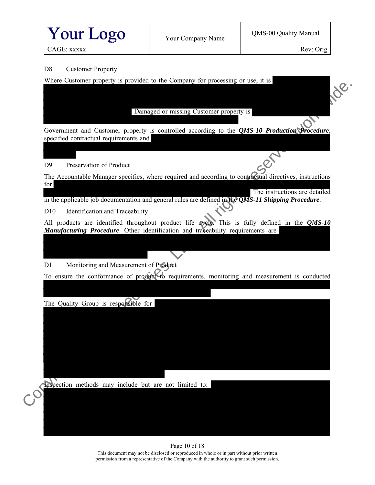

Rev: Orig

CAGE: xxxxx

#### D8 Customer Property

Where Customer property is provided to the Company for processing or use, it is

Damaged or missing Customer property is

Government and Customer property is controlled according to the *QMS-10 Production Procedure*, specified contractual requirements and

#### D9 Preservation of Product

The Accountable Manager specifies, where required and according to contractual directives, instructions for Convertise the state of the state of the state of the control of the specified control and Customer poperty is controlled according to the QMS-10 Freduction Neverlander.<br>
Specified contraction Chronicle is controlled acco

 The instructions are detailed in the applicable job documentation and general rules are defined in the *QMS-11 Shipping Procedure*.

D10 Identification and Traceability

All products are identified throughout product life cycle. This is fully defined in the *QMS-10 Manufacturing Procedure*. Other identification and traceability requirements are

D11 Monitoring and Measurement of Product

To ensure the conformance of product to requirements, monitoring and measurement is conducted

The Quality Group is responsible for

Inspection methods may include but are not limited to:

#### Page 10 of 18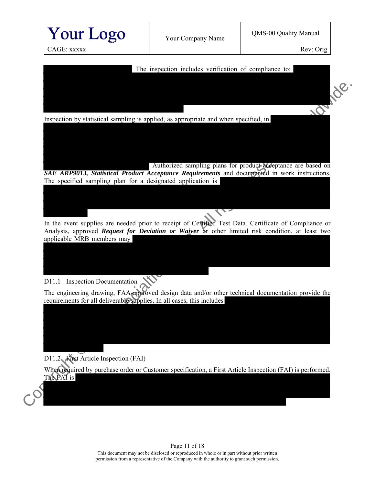

Analysis, approved *Request for Deviation or Waiver* or other limited risk condition, at least two applicable MRB members may

### D11.1 Inspection Documentation

The engineering drawing, FAA-approved design data and/or other technical documentation provide the requirements for all deliverable supplies. In all cases, this includes

D11.2 First Article Inspection (FAI)

When required by purchase order or Customer specification, a First Article Inspection (FAI) is performed. The FAI is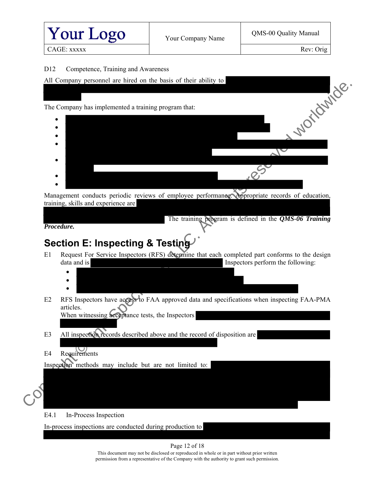

#### D12 Competence, Training and Awareness

|  | All Company personnel are hired on the basis of their ability to |  |  |  |  |  |  |
|--|------------------------------------------------------------------|--|--|--|--|--|--|
|  |                                                                  |  |  |  |  |  |  |
|  |                                                                  |  |  |  |  |  |  |
|  | The Company has implemented a training program that:             |  |  |  |  |  |  |

 $\bullet$  $\bullet$  $\bullet$  $\bullet$  $\bullet$  $\bullet$  $\bullet$ Company has implemented a training program that:<br>
Company has implemented a training program that:<br>
<br>
Management conducts periodic reviews of employee performances respectively reserved to education.<br>
The training Negram

Management conducts periodic reviews of employee performance. Appropriate records of education, training, skills and experience are

The training program is defined in the *QMS-06 Training* 

*Procedure.* 

## <span id="page-11-0"></span>**Section E: Inspecting & Testing**

- E1 Request For Service Inspectors (RFS) determine that each completed part conforms to the design data and is Inspectors perform the following:
	- $\bullet$  $\bullet$
	- $\bullet$
- E2 RFS Inspectors have access to FAA approved data and specifications when inspecting FAA-PMA articles.

When witnessing acceptance tests, the Inspectors

- E3 All inspection records described above and the record of disposition are
- E4 Requirements

Inspection methods may include but are not limited to:

E4.1 In-Process Inspection

In-process inspections are conducted during production to

Page 12 of 18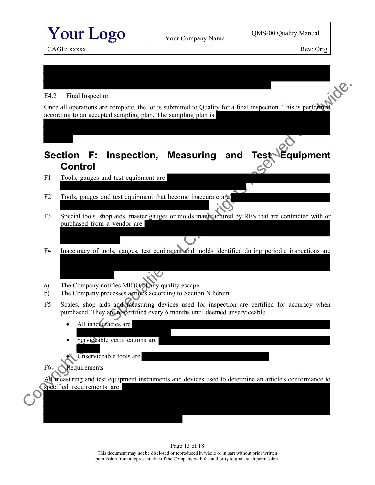<span id="page-12-0"></span>

#### Page 13 of 18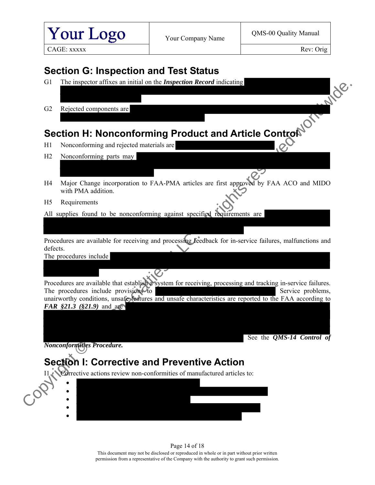<span id="page-13-1"></span><span id="page-13-0"></span>

| Your Logo<br>CAGE: XXXXX |                                                                           | Your Company Name                                                           | QMS-00 Quality Manual<br>Rev: Orig                                                                           |  |  |
|--------------------------|---------------------------------------------------------------------------|-----------------------------------------------------------------------------|--------------------------------------------------------------------------------------------------------------|--|--|
|                          |                                                                           |                                                                             |                                                                                                              |  |  |
|                          |                                                                           |                                                                             |                                                                                                              |  |  |
| G <sub>1</sub>           | <b>Section G: Inspection and Test Status</b>                              |                                                                             |                                                                                                              |  |  |
|                          |                                                                           | The inspector affixes an initial on the <i>Inspection Record</i> indicating |                                                                                                              |  |  |
|                          |                                                                           |                                                                             |                                                                                                              |  |  |
| G2                       | Rejected components are                                                   |                                                                             |                                                                                                              |  |  |
|                          | Section H: Nonconforming Product and Article Control                      |                                                                             |                                                                                                              |  |  |
| H1                       | Nonconforming and rejected materials are                                  |                                                                             |                                                                                                              |  |  |
| H2                       | Nonconforming parts may                                                   |                                                                             |                                                                                                              |  |  |
|                          |                                                                           |                                                                             |                                                                                                              |  |  |
| H4                       | with PMA addition.                                                        |                                                                             | Major Change incorporation to FAA-PMA articles are first approved by FAA ACO and MIDO                        |  |  |
| H <sub>5</sub>           | Requirements                                                              |                                                                             |                                                                                                              |  |  |
|                          | All supplies found to be nonconforming against specified requirements are |                                                                             |                                                                                                              |  |  |
|                          |                                                                           |                                                                             |                                                                                                              |  |  |
|                          |                                                                           |                                                                             | Procedures are available for receiving and processing feedback for in-service failures, malfunctions and     |  |  |
| defects.                 | The procedures include                                                    |                                                                             |                                                                                                              |  |  |
|                          |                                                                           |                                                                             |                                                                                                              |  |  |
|                          |                                                                           |                                                                             | Procedures are available that establish a system for receiving, processing and tracking in-service failures. |  |  |
|                          | The procedures include provisions to                                      |                                                                             | Service problems,                                                                                            |  |  |
|                          | FAR $$21.3$ $$21.9$ and are                                               |                                                                             | unairworthy conditions, unsafe features and unsafe characteristics are reported to the FAA according to      |  |  |
|                          |                                                                           |                                                                             |                                                                                                              |  |  |
|                          |                                                                           |                                                                             |                                                                                                              |  |  |
|                          | Nonconformities Procedure.                                                |                                                                             | See the <i>QMS-14 Control of</i>                                                                             |  |  |
|                          | <b>Section I: Corrective and Preventive Action</b>                        |                                                                             |                                                                                                              |  |  |
| 11 <sub>4</sub>          |                                                                           | Corrective actions review non-conformities of manufactured articles to:     |                                                                                                              |  |  |
|                          |                                                                           |                                                                             |                                                                                                              |  |  |
|                          |                                                                           |                                                                             |                                                                                                              |  |  |
|                          |                                                                           |                                                                             |                                                                                                              |  |  |
|                          |                                                                           |                                                                             |                                                                                                              |  |  |

<span id="page-13-2"></span>Page 14 of 18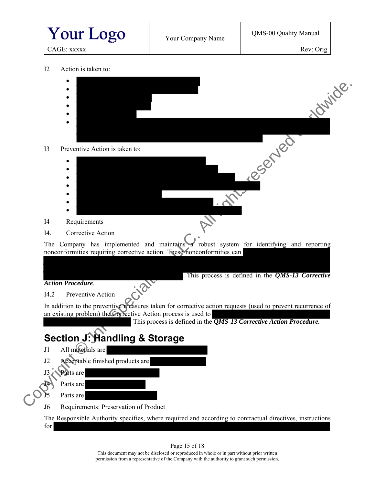<span id="page-14-0"></span>

| <b>Your Logo</b>                                        | Your Company Name                                                                                                                                                 | QMS-00 Quality Manual<br>Rev: Orig               |  |  |
|---------------------------------------------------------|-------------------------------------------------------------------------------------------------------------------------------------------------------------------|--------------------------------------------------|--|--|
| CAGE: XXXXX                                             |                                                                                                                                                                   |                                                  |  |  |
| 12<br>Action is taken to:                               |                                                                                                                                                                   |                                                  |  |  |
|                                                         |                                                                                                                                                                   |                                                  |  |  |
|                                                         |                                                                                                                                                                   | Jouride                                          |  |  |
|                                                         |                                                                                                                                                                   |                                                  |  |  |
|                                                         |                                                                                                                                                                   |                                                  |  |  |
|                                                         |                                                                                                                                                                   |                                                  |  |  |
| 13<br>Preventive Action is taken to:                    |                                                                                                                                                                   | reserved                                         |  |  |
|                                                         |                                                                                                                                                                   |                                                  |  |  |
|                                                         |                                                                                                                                                                   |                                                  |  |  |
|                                                         |                                                                                                                                                                   |                                                  |  |  |
|                                                         |                                                                                                                                                                   |                                                  |  |  |
|                                                         |                                                                                                                                                                   |                                                  |  |  |
| I <sub>4</sub><br>Requirements                          |                                                                                                                                                                   |                                                  |  |  |
| I4.1<br>Corrective Action                               |                                                                                                                                                                   |                                                  |  |  |
|                                                         | The Company has implemented and maintains a robust system for identifying and reporting<br>nonconformities requiring corrective action. These nonconformities can |                                                  |  |  |
|                                                         |                                                                                                                                                                   |                                                  |  |  |
| <b>Action Procedure.</b>                                |                                                                                                                                                                   | This process is defined in the QMS-13 Corrective |  |  |
| I4.2 Preventive Action                                  |                                                                                                                                                                   |                                                  |  |  |
|                                                         | In addition to the preventive measures taken for corrective action requests (used to prevent recurrence of                                                        |                                                  |  |  |
|                                                         | an existing problem) the Corrective Action process is used to<br>This process is defined in the $\overline{QMS-13}$ Corrective Action Procedure.                  |                                                  |  |  |
|                                                         |                                                                                                                                                                   |                                                  |  |  |
| <b>Section J: Handling &amp; Storage</b>                |                                                                                                                                                                   |                                                  |  |  |
|                                                         |                                                                                                                                                                   |                                                  |  |  |
| All materials are<br>J1                                 |                                                                                                                                                                   |                                                  |  |  |
| Acceptable finished products are<br>J2                  |                                                                                                                                                                   |                                                  |  |  |
| Parts are<br>J3                                         |                                                                                                                                                                   |                                                  |  |  |
| Parts are<br>Parts are                                  |                                                                                                                                                                   |                                                  |  |  |
| Requirements: Preservation of Product<br>J <sub>6</sub> |                                                                                                                                                                   |                                                  |  |  |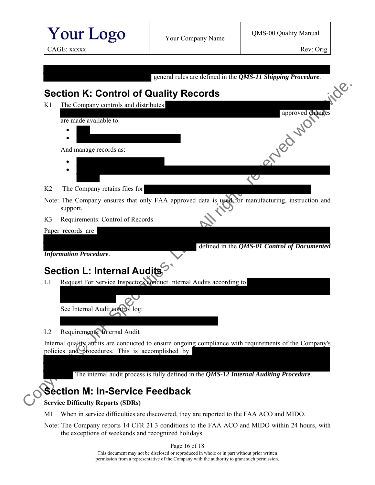<span id="page-15-0"></span>

Note: The Company ensures that only FAA approved data is used for manufacturing, instruction and support.

defined in the *QMS-01 Control of Documented* 

K3 Requirements: Control of Records

Paper records are

*Information Procedure*.

# <span id="page-15-1"></span>**Section L: Internal Audits**

L1 Request For Service Inspectors conduct Internal Audits according to

See Internal Audit control log:

L2 Requirements: Internal Audit

Internal quality audits are conducted to ensure ongoing compliance with requirements of the Company's policies and procedures. This is accomplished by

The internal audit process is fully defined in the *QMS-12 Internal Auditing Procedure*.

## <span id="page-15-2"></span>**Section M: In-Service Feedback**

#### **Service Difficulty Reports (SDRs)**

- M1 When in service difficulties are discovered, they are reported to the FAA ACO and MIDO.
- Note: The Company reports 14 CFR 21.3 conditions to the FAA ACO and MIDO within 24 hours, with the exceptions of weekends and recognized holidays.

Page 16 of 18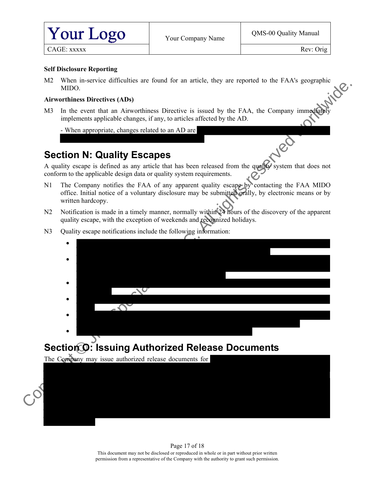

Rev: Orig

CAGE: xxxxx

#### **Self Disclosure Reporting**

M2 When in-service difficulties are found for an article, they are reported to the FAA's geographic MIDO.

#### **Airworthiness Directives (ADs)**

M3 In the event that an Airworthiness Directive is issued by the FAA, the Company immediately implements applicable changes, if any, to articles affected by the AD.

- When appropriate, changes related to an AD are

### <span id="page-16-0"></span>**Section N: Quality Escapes**

A quality escape is defined as any article that has been released from the quality system that does not conform to the applicable design data or quality system requirements.

- N1 The Company notifies the FAA of any apparent quality escape by contacting the FAA MIDO office. Initial notice of a voluntary disclosure may be submitted orally, by electronic means or by written hardcopy.
- N2 Notification is made in a timely manner, normally within 24 hours of the discovery of the apparent quality escape, with the exception of weekends and recognized holidays.
	- $\bullet$  $\bullet$
- N3 Ouality escape notifications include the following information:
- $\bullet$  $\bullet$  $\bullet$  $\bullet$ Computer of the Million of the Million of the Computer of the Computer of the Computer of the Computer of the Computer of the Special Mathematic splication control in the control of the ACO of the ACO of the ACO of the ACO

# <span id="page-16-1"></span>**Section O: Issuing Authorized Release Documents**

The Company may issue authorized release documents for